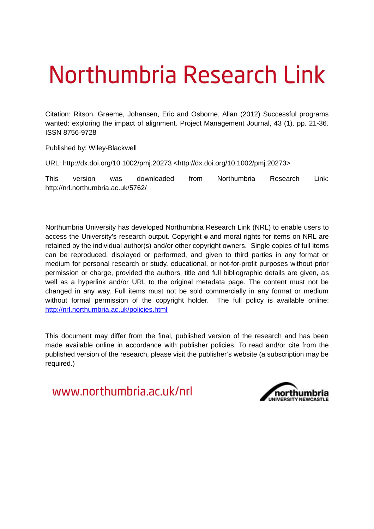# Northumbria Research Link

Citation: Ritson, Graeme, Johansen, Eric and Osborne, Allan (2012) Successful programs wanted: exploring the impact of alignment. Project Management Journal, 43 (1). pp. 21-36. ISSN 8756-9728

Published by: Wiley-Blackwell

URL: http://dx.doi.org/10.1002/pmj.20273 <http://dx.doi.org/10.1002/pmj.20273>

This version was downloaded from Northumbria Research Link: http://nrl.northumbria.ac.uk/5762/

Northumbria University has developed Northumbria Research Link (NRL) to enable users to access the University's research output. Copyright  $\circ$  and moral rights for items on NRL are retained by the individual author(s) and/or other copyright owners. Single copies of full items can be reproduced, displayed or performed, and given to third parties in any format or medium for personal research or study, educational, or not-for-profit purposes without prior permission or charge, provided the authors, title and full bibliographic details are given, as well as a hyperlink and/or URL to the original metadata page. The content must not be changed in any way. Full items must not be sold commercially in any format or medium without formal permission of the copyright holder. The full policy is available online: <http://nrl.northumbria.ac.uk/policies.html>

This document may differ from the final, published version of the research and has been made available online in accordance with publisher policies. To read and/or cite from the published version of the research, please visit the publisher's website (a subscription may be required.)

www.northumbria.ac.uk/nrl

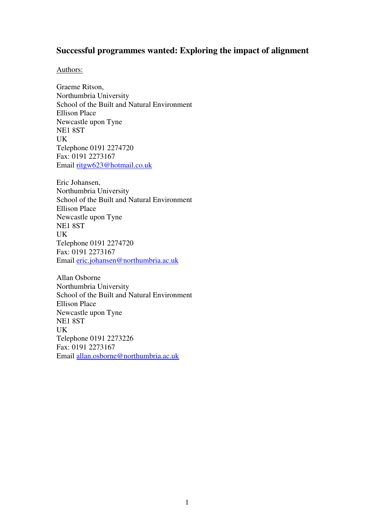# **Successful programmes wanted: Exploring the impact of alignment**

# Authors:

Graeme Ritson, Northumbria University School of the Built and Natural Environment Ellison Place Newcastle upon Tyne NE1 8ST UK Telephone 0191 2274720 Fax: 0191 2273167 Email ritgw623@hotmail.co.uk

Eric Johansen, Northumbria University School of the Built and Natural Environment Ellison Place Newcastle upon Tyne NE1 8ST UK Telephone 0191 2274720 Fax: 0191 2273167 Email eric.johansen@northumbria.ac.uk

Allan Osborne Northumbria University School of the Built and Natural Environment Ellison Place Newcastle upon Tyne NE1 8ST UK Telephone 0191 2273226 Fax: 0191 2273167 Email allan.osborne@northumbria.ac.uk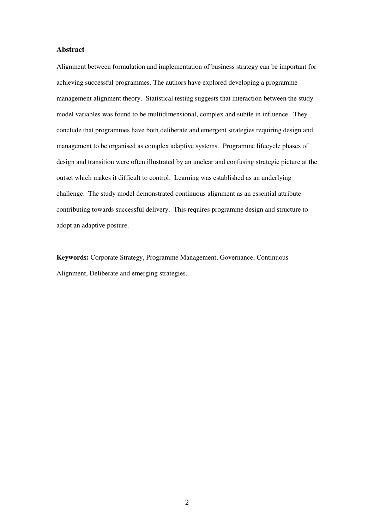## **Abstract**

Alignment between formulation and implementation of business strategy can be important for achieving successful programmes. The authors have explored developing a programme management alignment theory. Statistical testing suggests that interaction between the study model variables was found to be multidimensional, complex and subtle in influence. They conclude that programmes have both deliberate and emergent strategies requiring design and management to be organised as complex adaptive systems. Programme lifecycle phases of design and transition were often illustrated by an unclear and confusing strategic picture at the outset which makes it difficult to control. Learning was established as an underlying challenge. The study model demonstrated continuous alignment as an essential attribute contributing towards successful delivery. This requires programme design and structure to adopt an adaptive posture.

**Keywords:** Corporate Strategy, Programme Management, Governance, Continuous Alignment, Deliberate and emerging strategies.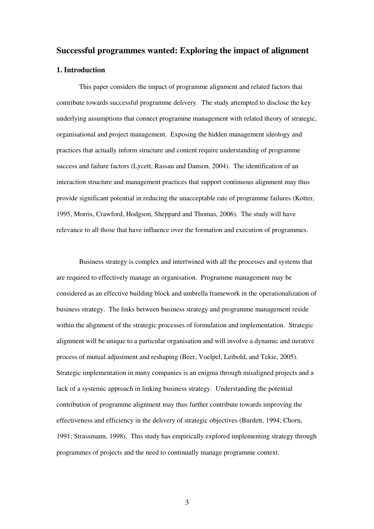# **Successful programmes wanted: Exploring the impact of alignment**

#### **1. Introduction**

This paper considers the impact of programme alignment and related factors that contribute towards successful programme delivery. The study attempted to disclose the key underlying assumptions that connect programme management with related theory of strategic, organisational and project management. Exposing the hidden management ideology and practices that actually inform structure and content require understanding of programme success and failure factors (Lycett, Rassau and Danson, 2004). The identification of an interaction structure and management practices that support continuous alignment may thus provide significant potential in reducing the unacceptable rate of programme failures (Kotter, 1995, Morris, Crawford, Hodgson, Sheppard and Thomas, 2006). The study will have relevance to all those that have influence over the formation and execution of programmes.

Business strategy is complex and intertwined with all the processes and systems that are required to effectively manage an organisation. Programme management may be considered as an effective building block and umbrella framework in the operationalization of business strategy. The links between business strategy and programme management reside within the alignment of the strategic processes of formulation and implementation. Strategic alignment will be unique to a particular organisation and will involve a dynamic and iterative process of mutual adjustment and reshaping (Beer, Voelpel, Leibold, and Tekie, 2005). Strategic implementation in many companies is an enigma through misaligned projects and a lack of a systemic approach in linking business strategy. Understanding the potential contribution of programme alignment may thus further contribute towards improving the effectiveness and efficiency in the delivery of strategic objectives (Burdett, 1994; Chorn, 1991; Strassmann, 1998). This study has empirically explored implementing strategy through programmes of projects and the need to continually manage programme context.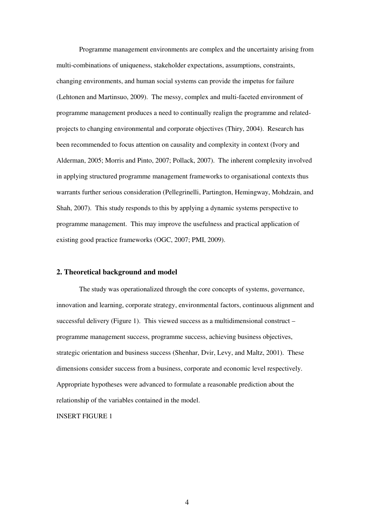Programme management environments are complex and the uncertainty arising from multi-combinations of uniqueness, stakeholder expectations, assumptions, constraints, changing environments, and human social systems can provide the impetus for failure (Lehtonen and Martinsuo, 2009). The messy, complex and multi-faceted environment of programme management produces a need to continually realign the programme and relatedprojects to changing environmental and corporate objectives (Thiry, 2004). Research has been recommended to focus attention on causality and complexity in context (Ivory and Alderman, 2005; Morris and Pinto, 2007; Pollack, 2007). The inherent complexity involved in applying structured programme management frameworks to organisational contexts thus warrants further serious consideration (Pellegrinelli, Partington, Hemingway, Mohdzain, and Shah, 2007). This study responds to this by applying a dynamic systems perspective to programme management. This may improve the usefulness and practical application of existing good practice frameworks (OGC, 2007; PMI, 2009).

#### **2. Theoretical background and model**

The study was operationalized through the core concepts of systems, governance, innovation and learning, corporate strategy, environmental factors, continuous alignment and successful delivery (Figure 1). This viewed success as a multidimensional construct – programme management success, programme success, achieving business objectives, strategic orientation and business success (Shenhar, Dvir, Levy, and Maltz, 2001). These dimensions consider success from a business, corporate and economic level respectively. Appropriate hypotheses were advanced to formulate a reasonable prediction about the relationship of the variables contained in the model.

INSERT FIGURE 1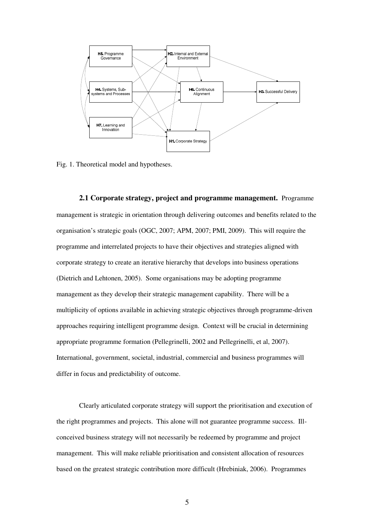

Fig. 1. Theoretical model and hypotheses.

**2.1 Corporate strategy, project and programme management.** Programme management is strategic in orientation through delivering outcomes and benefits related to the organisation's strategic goals (OGC, 2007; APM, 2007; PMI, 2009). This will require the programme and interrelated projects to have their objectives and strategies aligned with corporate strategy to create an iterative hierarchy that develops into business operations (Dietrich and Lehtonen, 2005). Some organisations may be adopting programme management as they develop their strategic management capability. There will be a multiplicity of options available in achieving strategic objectives through programme-driven approaches requiring intelligent programme design. Context will be crucial in determining appropriate programme formation (Pellegrinelli, 2002 and Pellegrinelli, et al, 2007). International, government, societal, industrial, commercial and business programmes will differ in focus and predictability of outcome.

Clearly articulated corporate strategy will support the prioritisation and execution of the right programmes and projects. This alone will not guarantee programme success. Illconceived business strategy will not necessarily be redeemed by programme and project management. This will make reliable prioritisation and consistent allocation of resources based on the greatest strategic contribution more difficult (Hrebiniak, 2006). Programmes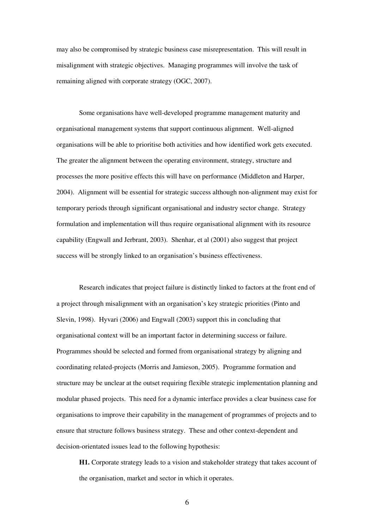may also be compromised by strategic business case misrepresentation. This will result in misalignment with strategic objectives. Managing programmes will involve the task of remaining aligned with corporate strategy (OGC, 2007).

Some organisations have well-developed programme management maturity and organisational management systems that support continuous alignment. Well-aligned organisations will be able to prioritise both activities and how identified work gets executed. The greater the alignment between the operating environment, strategy, structure and processes the more positive effects this will have on performance (Middleton and Harper, 2004). Alignment will be essential for strategic success although non-alignment may exist for temporary periods through significant organisational and industry sector change. Strategy formulation and implementation will thus require organisational alignment with its resource capability (Engwall and Jerbrant, 2003). Shenhar, et al (2001) also suggest that project success will be strongly linked to an organisation's business effectiveness.

Research indicates that project failure is distinctly linked to factors at the front end of a project through misalignment with an organisation's key strategic priorities (Pinto and Slevin, 1998). Hyvari (2006) and Engwall (2003) support this in concluding that organisational context will be an important factor in determining success or failure. Programmes should be selected and formed from organisational strategy by aligning and coordinating related-projects (Morris and Jamieson, 2005). Programme formation and structure may be unclear at the outset requiring flexible strategic implementation planning and modular phased projects. This need for a dynamic interface provides a clear business case for organisations to improve their capability in the management of programmes of projects and to ensure that structure follows business strategy. These and other context-dependent and decision-orientated issues lead to the following hypothesis:

**H1.** Corporate strategy leads to a vision and stakeholder strategy that takes account of the organisation, market and sector in which it operates.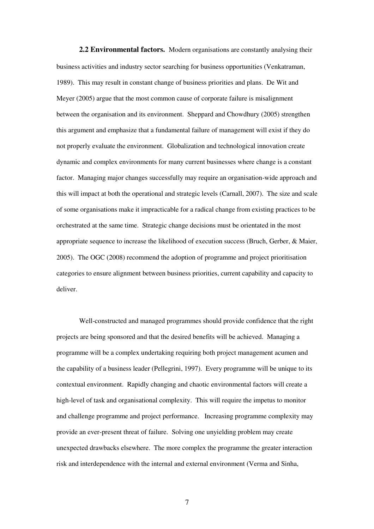**2.2 Environmental factors.** Modern organisations are constantly analysing their business activities and industry sector searching for business opportunities (Venkatraman, 1989). This may result in constant change of business priorities and plans. De Wit and Meyer (2005) argue that the most common cause of corporate failure is misalignment between the organisation and its environment. Sheppard and Chowdhury (2005) strengthen this argument and emphasize that a fundamental failure of management will exist if they do not properly evaluate the environment. Globalization and technological innovation create dynamic and complex environments for many current businesses where change is a constant factor. Managing major changes successfully may require an organisation-wide approach and this will impact at both the operational and strategic levels (Carnall, 2007). The size and scale of some organisations make it impracticable for a radical change from existing practices to be orchestrated at the same time. Strategic change decisions must be orientated in the most appropriate sequence to increase the likelihood of execution success (Bruch, Gerber, & Maier, 2005). The OGC (2008) recommend the adoption of programme and project prioritisation categories to ensure alignment between business priorities, current capability and capacity to deliver.

Well-constructed and managed programmes should provide confidence that the right projects are being sponsored and that the desired benefits will be achieved. Managing a programme will be a complex undertaking requiring both project management acumen and the capability of a business leader (Pellegrini, 1997). Every programme will be unique to its contextual environment. Rapidly changing and chaotic environmental factors will create a high-level of task and organisational complexity. This will require the impetus to monitor and challenge programme and project performance. Increasing programme complexity may provide an ever-present threat of failure. Solving one unyielding problem may create unexpected drawbacks elsewhere. The more complex the programme the greater interaction risk and interdependence with the internal and external environment (Verma and Sinha,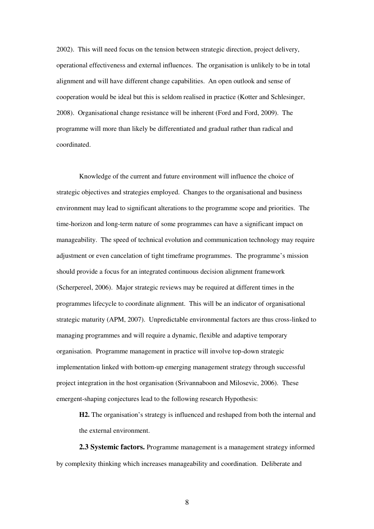2002). This will need focus on the tension between strategic direction, project delivery, operational effectiveness and external influences. The organisation is unlikely to be in total alignment and will have different change capabilities. An open outlook and sense of cooperation would be ideal but this is seldom realised in practice (Kotter and Schlesinger, 2008). Organisational change resistance will be inherent (Ford and Ford, 2009). The programme will more than likely be differentiated and gradual rather than radical and coordinated.

Knowledge of the current and future environment will influence the choice of strategic objectives and strategies employed. Changes to the organisational and business environment may lead to significant alterations to the programme scope and priorities. The time-horizon and long-term nature of some programmes can have a significant impact on manageability. The speed of technical evolution and communication technology may require adjustment or even cancelation of tight timeframe programmes. The programme's mission should provide a focus for an integrated continuous decision alignment framework (Scherpereel, 2006). Major strategic reviews may be required at different times in the programmes lifecycle to coordinate alignment. This will be an indicator of organisational strategic maturity (APM, 2007). Unpredictable environmental factors are thus cross-linked to managing programmes and will require a dynamic, flexible and adaptive temporary organisation. Programme management in practice will involve top-down strategic implementation linked with bottom-up emerging management strategy through successful project integration in the host organisation (Srivannaboon and Milosevic, 2006). These emergent-shaping conjectures lead to the following research Hypothesis:

**H2.** The organisation's strategy is influenced and reshaped from both the internal and the external environment.

**2.3 Systemic factors.** Programme management is a management strategy informed by complexity thinking which increases manageability and coordination. Deliberate and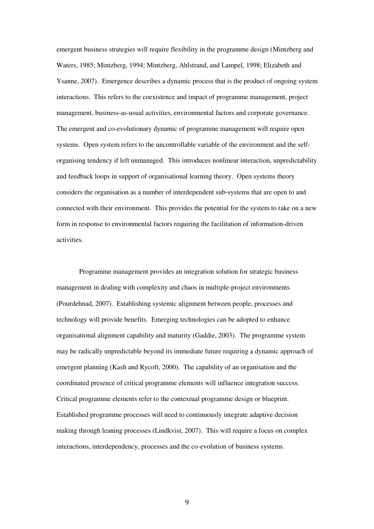emergent business strategies will require flexibility in the programme design (Mintzberg and Waters, 1985; Mintzberg, 1994; Mintzberg, Ahlstrand, and Lampel, 1998; Elizabeth and Ysanne, 2007). Emergence describes a dynamic process that is the product of ongoing system interactions. This refers to the coexistence and impact of programme management, project management, business-as-usual activities, environmental factors and corporate governance. The emergent and co-evolutionary dynamic of programme management will require open systems. Open system refers to the uncontrollable variable of the environment and the selforganising tendency if left unmanaged. This introduces nonlinear interaction, unpredictability and feedback loops in support of organisational learning theory. Open systems theory considers the organisation as a number of interdependent sub-systems that are open to and connected with their environment. This provides the potential for the system to take on a new form in response to environmental factors requiring the facilitation of information-driven activities.

Programme management provides an integration solution for strategic business management in dealing with complexity and chaos in multiple-project environments (Pourdehnad, 2007). Establishing systemic alignment between people, processes and technology will provide benefits. Emerging technologies can be adopted to enhance organisational alignment capability and maturity (Gaddie, 2003). The programme system may be radically unpredictable beyond its immediate future requiring a dynamic approach of emergent planning (Kash and Rycoft, 2000). The capability of an organisation and the coordinated presence of critical programme elements will influence integration success. Critical programme elements refer to the contextual programme design or blueprint. Established programme processes will need to continuously integrate adaptive decision making through leaning processes (Lindkvist, 2007). This will require a focus on complex interactions, interdependency, processes and the co-evolution of business systems.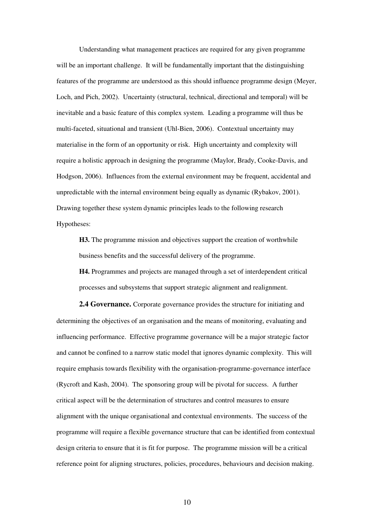Understanding what management practices are required for any given programme will be an important challenge. It will be fundamentally important that the distinguishing features of the programme are understood as this should influence programme design (Meyer, Loch, and Pich, 2002). Uncertainty (structural, technical, directional and temporal) will be inevitable and a basic feature of this complex system. Leading a programme will thus be multi-faceted, situational and transient (Uhl-Bien, 2006). Contextual uncertainty may materialise in the form of an opportunity or risk. High uncertainty and complexity will require a holistic approach in designing the programme (Maylor, Brady, Cooke-Davis, and Hodgson, 2006). Influences from the external environment may be frequent, accidental and unpredictable with the internal environment being equally as dynamic (Rybakov, 2001). Drawing together these system dynamic principles leads to the following research Hypotheses:

**H3.** The programme mission and objectives support the creation of worthwhile business benefits and the successful delivery of the programme.

**H4.** Programmes and projects are managed through a set of interdependent critical processes and subsystems that support strategic alignment and realignment.

**2.4 Governance.** Corporate governance provides the structure for initiating and determining the objectives of an organisation and the means of monitoring, evaluating and influencing performance. Effective programme governance will be a major strategic factor and cannot be confined to a narrow static model that ignores dynamic complexity. This will require emphasis towards flexibility with the organisation-programme-governance interface (Rycroft and Kash, 2004). The sponsoring group will be pivotal for success. A further critical aspect will be the determination of structures and control measures to ensure alignment with the unique organisational and contextual environments. The success of the programme will require a flexible governance structure that can be identified from contextual design criteria to ensure that it is fit for purpose. The programme mission will be a critical reference point for aligning structures, policies, procedures, behaviours and decision making.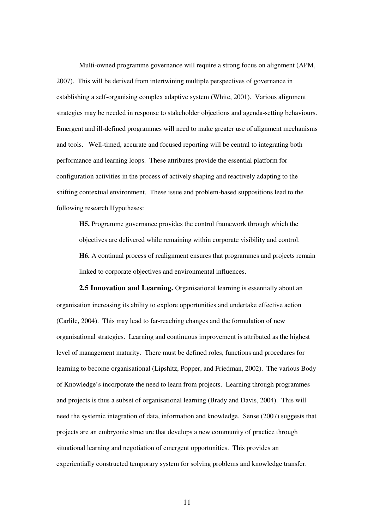Multi-owned programme governance will require a strong focus on alignment (APM, 2007). This will be derived from intertwining multiple perspectives of governance in establishing a self-organising complex adaptive system (White, 2001). Various alignment strategies may be needed in response to stakeholder objections and agenda-setting behaviours. Emergent and ill-defined programmes will need to make greater use of alignment mechanisms and tools. Well-timed, accurate and focused reporting will be central to integrating both performance and learning loops. These attributes provide the essential platform for configuration activities in the process of actively shaping and reactively adapting to the shifting contextual environment. These issue and problem-based suppositions lead to the following research Hypotheses:

**H5.** Programme governance provides the control framework through which the objectives are delivered while remaining within corporate visibility and control. **H6.** A continual process of realignment ensures that programmes and projects remain linked to corporate objectives and environmental influences.

**2.5 Innovation and Learning.** Organisational learning is essentially about an organisation increasing its ability to explore opportunities and undertake effective action (Carlile, 2004). This may lead to far-reaching changes and the formulation of new organisational strategies. Learning and continuous improvement is attributed as the highest level of management maturity. There must be defined roles, functions and procedures for learning to become organisational (Lipshitz, Popper, and Friedman, 2002). The various Body of Knowledge's incorporate the need to learn from projects. Learning through programmes and projects is thus a subset of organisational learning (Brady and Davis, 2004). This will need the systemic integration of data, information and knowledge. Sense (2007) suggests that projects are an embryonic structure that develops a new community of practice through situational learning and negotiation of emergent opportunities. This provides an experientially constructed temporary system for solving problems and knowledge transfer.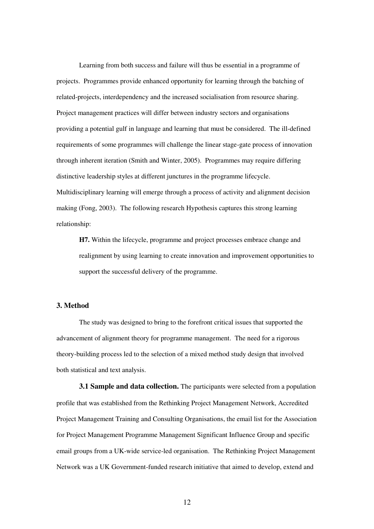Learning from both success and failure will thus be essential in a programme of projects. Programmes provide enhanced opportunity for learning through the batching of related-projects, interdependency and the increased socialisation from resource sharing. Project management practices will differ between industry sectors and organisations providing a potential gulf in language and learning that must be considered. The ill-defined requirements of some programmes will challenge the linear stage-gate process of innovation through inherent iteration (Smith and Winter, 2005). Programmes may require differing distinctive leadership styles at different junctures in the programme lifecycle. Multidisciplinary learning will emerge through a process of activity and alignment decision making (Fong, 2003). The following research Hypothesis captures this strong learning relationship:

**H7.** Within the lifecycle, programme and project processes embrace change and realignment by using learning to create innovation and improvement opportunities to support the successful delivery of the programme.

# **3. Method**

The study was designed to bring to the forefront critical issues that supported the advancement of alignment theory for programme management. The need for a rigorous theory-building process led to the selection of a mixed method study design that involved both statistical and text analysis.

**3.1 Sample and data collection.** The participants were selected from a population profile that was established from the Rethinking Project Management Network, Accredited Project Management Training and Consulting Organisations, the email list for the Association for Project Management Programme Management Significant Influence Group and specific email groups from a UK-wide service-led organisation. The Rethinking Project Management Network was a UK Government-funded research initiative that aimed to develop, extend and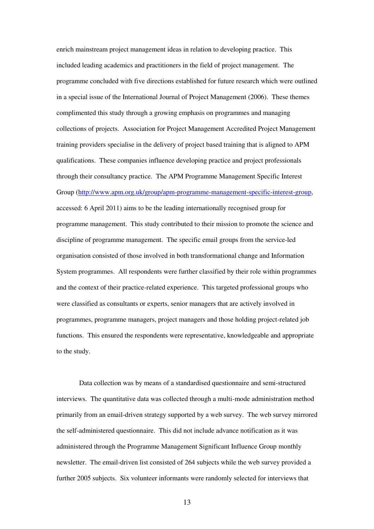enrich mainstream project management ideas in relation to developing practice. This included leading academics and practitioners in the field of project management. The programme concluded with five directions established for future research which were outlined in a special issue of the International Journal of Project Management (2006). These themes complimented this study through a growing emphasis on programmes and managing collections of projects. Association for Project Management Accredited Project Management training providers specialise in the delivery of project based training that is aligned to APM qualifications. These companies influence developing practice and project professionals through their consultancy practice. The APM Programme Management Specific Interest Group (http://www.apm.org.uk/group/apm-programme-management-specific-interest-group, accessed: 6 April 2011) aims to be the leading internationally recognised group for programme management. This study contributed to their mission to promote the science and discipline of programme management. The specific email groups from the service-led organisation consisted of those involved in both transformational change and Information System programmes. All respondents were further classified by their role within programmes and the context of their practice-related experience. This targeted professional groups who were classified as consultants or experts, senior managers that are actively involved in programmes, programme managers, project managers and those holding project-related job functions. This ensured the respondents were representative, knowledgeable and appropriate to the study.

Data collection was by means of a standardised questionnaire and semi-structured interviews. The quantitative data was collected through a multi-mode administration method primarily from an email-driven strategy supported by a web survey. The web survey mirrored the self-administered questionnaire. This did not include advance notification as it was administered through the Programme Management Significant Influence Group monthly newsletter. The email-driven list consisted of 264 subjects while the web survey provided a further 2005 subjects. Six volunteer informants were randomly selected for interviews that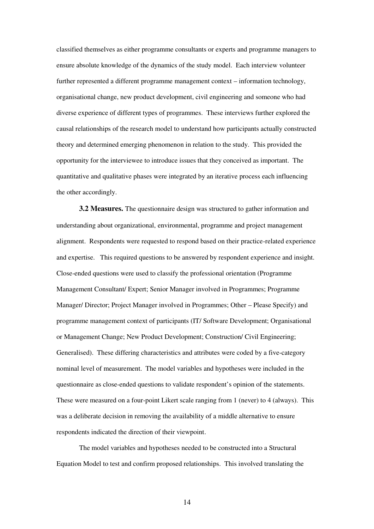classified themselves as either programme consultants or experts and programme managers to ensure absolute knowledge of the dynamics of the study model. Each interview volunteer further represented a different programme management context – information technology, organisational change, new product development, civil engineering and someone who had diverse experience of different types of programmes. These interviews further explored the causal relationships of the research model to understand how participants actually constructed theory and determined emerging phenomenon in relation to the study. This provided the opportunity for the interviewee to introduce issues that they conceived as important. The quantitative and qualitative phases were integrated by an iterative process each influencing the other accordingly.

**3.2 Measures.** The questionnaire design was structured to gather information and understanding about organizational, environmental, programme and project management alignment. Respondents were requested to respond based on their practice-related experience and expertise. This required questions to be answered by respondent experience and insight. Close-ended questions were used to classify the professional orientation (Programme Management Consultant/ Expert; Senior Manager involved in Programmes; Programme Manager/ Director; Project Manager involved in Programmes; Other – Please Specify) and programme management context of participants (IT/ Software Development; Organisational or Management Change; New Product Development; Construction/ Civil Engineering; Generalised). These differing characteristics and attributes were coded by a five-category nominal level of measurement. The model variables and hypotheses were included in the questionnaire as close-ended questions to validate respondent's opinion of the statements. These were measured on a four-point Likert scale ranging from 1 (never) to 4 (always). This was a deliberate decision in removing the availability of a middle alternative to ensure respondents indicated the direction of their viewpoint.

The model variables and hypotheses needed to be constructed into a Structural Equation Model to test and confirm proposed relationships. This involved translating the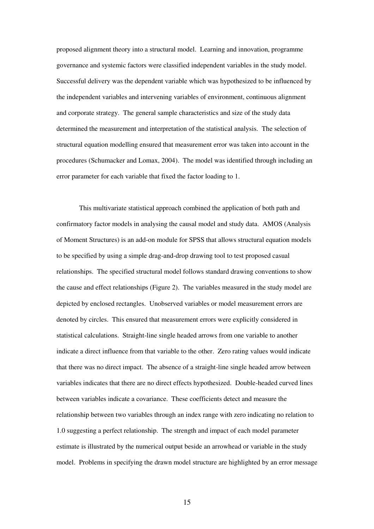proposed alignment theory into a structural model. Learning and innovation, programme governance and systemic factors were classified independent variables in the study model. Successful delivery was the dependent variable which was hypothesized to be influenced by the independent variables and intervening variables of environment, continuous alignment and corporate strategy. The general sample characteristics and size of the study data determined the measurement and interpretation of the statistical analysis. The selection of structural equation modelling ensured that measurement error was taken into account in the procedures (Schumacker and Lomax, 2004). The model was identified through including an error parameter for each variable that fixed the factor loading to 1.

This multivariate statistical approach combined the application of both path and confirmatory factor models in analysing the causal model and study data. AMOS (Analysis of Moment Structures) is an add-on module for SPSS that allows structural equation models to be specified by using a simple drag-and-drop drawing tool to test proposed casual relationships. The specified structural model follows standard drawing conventions to show the cause and effect relationships (Figure 2). The variables measured in the study model are depicted by enclosed rectangles. Unobserved variables or model measurement errors are denoted by circles. This ensured that measurement errors were explicitly considered in statistical calculations. Straight-line single headed arrows from one variable to another indicate a direct influence from that variable to the other. Zero rating values would indicate that there was no direct impact. The absence of a straight-line single headed arrow between variables indicates that there are no direct effects hypothesized. Double-headed curved lines between variables indicate a covariance. These coefficients detect and measure the relationship between two variables through an index range with zero indicating no relation to 1.0 suggesting a perfect relationship. The strength and impact of each model parameter estimate is illustrated by the numerical output beside an arrowhead or variable in the study model. Problems in specifying the drawn model structure are highlighted by an error message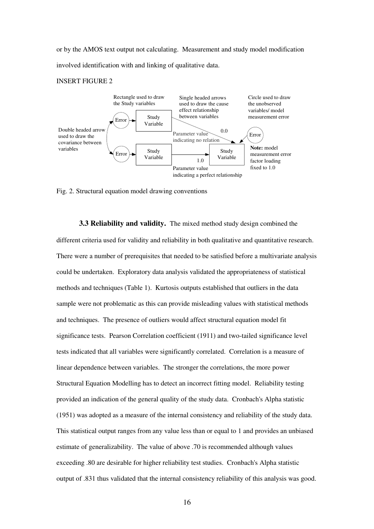or by the AMOS text output not calculating. Measurement and study model modification involved identification with and linking of qualitative data.

#### INSERT FIGURE 2



Fig. 2. Structural equation model drawing conventions

**3.3 Reliability and validity.** The mixed method study design combined the different criteria used for validity and reliability in both qualitative and quantitative research. There were a number of prerequisites that needed to be satisfied before a multivariate analysis could be undertaken. Exploratory data analysis validated the appropriateness of statistical methods and techniques (Table 1). Kurtosis outputs established that outliers in the data sample were not problematic as this can provide misleading values with statistical methods and techniques. The presence of outliers would affect structural equation model fit significance tests. Pearson Correlation coefficient (1911) and two-tailed significance level tests indicated that all variables were significantly correlated. Correlation is a measure of linear dependence between variables. The stronger the correlations, the more power Structural Equation Modelling has to detect an incorrect fitting model. Reliability testing provided an indication of the general quality of the study data. Cronbach's Alpha statistic (1951) was adopted as a measure of the internal consistency and reliability of the study data. This statistical output ranges from any value less than or equal to 1 and provides an unbiased estimate of generalizability. The value of above .70 is recommended although values exceeding .80 are desirable for higher reliability test studies. Cronbach's Alpha statistic output of .831 thus validated that the internal consistency reliability of this analysis was good.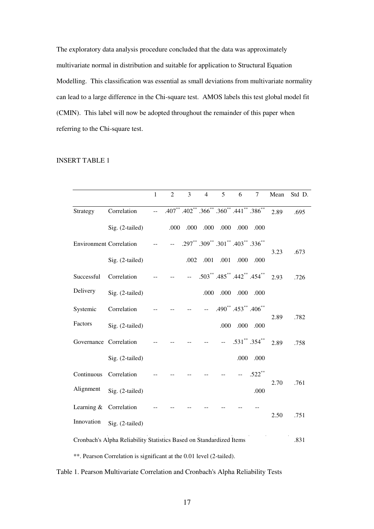The exploratory data analysis procedure concluded that the data was approximately multivariate normal in distribution and suitable for application to Structural Equation Modelling. This classification was essential as small deviations from multivariate normality can lead to a large difference in the Chi-square test. AMOS labels this test global model fit (CMIN). This label will now be adopted throughout the remainder of this paper when referring to the Chi-square test.

#### INSERT TABLE 1

|                                                                     |                 | $\mathbf 1$    | $\overline{2}$ | 3            | $\overline{4}$ | 5                                                        | 6                                     | 7                   | Mean | Std D. |
|---------------------------------------------------------------------|-----------------|----------------|----------------|--------------|----------------|----------------------------------------------------------|---------------------------------------|---------------------|------|--------|
| Strategy                                                            | Correlation     | $\overline{a}$ |                |              |                | $.407***$ $.402***$ $.366***$ $.360**$ $.441**$ $.386**$ |                                       |                     | 2.89 | .695   |
|                                                                     | Sig. (2-tailed) |                | .000           | .000         | .000           | .000                                                     | .000                                  | .000                |      |        |
| <b>Environment Correlation</b>                                      |                 |                | $\overline{a}$ |              |                | .297** .309** .301** .403** .336**                       |                                       |                     |      |        |
|                                                                     | Sig. (2-tailed) |                |                | .002         | .001           | .001                                                     | .000                                  | .000                | 3.23 | .673   |
| Successful                                                          | Correlation     |                |                | $\mathbf{L}$ |                | .503** .485** .442** .454**                              |                                       |                     | 2.93 | .726   |
| Delivery                                                            | Sig. (2-tailed) |                |                |              | .000           | .000                                                     | .000                                  | .000                |      |        |
| Systemic                                                            | Correlation     |                |                |              | $\overline{a}$ |                                                          | $.490^{**}$ . $453^{**}$ . $406^{**}$ |                     |      |        |
| Factors                                                             | Sig. (2-tailed) |                |                |              |                | .000                                                     | .000                                  | .000                | 2.89 | .782   |
| Governance Correlation                                              |                 |                |                |              |                |                                                          |                                       | $.531$ ** $.354$ ** | 2.89 | .758   |
|                                                                     | Sig. (2-tailed) |                |                |              |                |                                                          | .000                                  | .000                |      |        |
| Continuous                                                          | Correlation     |                |                |              |                |                                                          |                                       | $.522***$           |      |        |
| Alignment                                                           | Sig. (2-tailed) |                |                |              |                |                                                          |                                       | .000                | 2.70 | .761   |
| Learning $&$                                                        | Correlation     |                |                |              |                |                                                          |                                       |                     |      |        |
| Innovation                                                          | Sig. (2-tailed) |                |                |              |                |                                                          |                                       |                     | 2.50 | .751   |
| Cronbach's Alpha Reliability Statistics Based on Standardized Items |                 |                |                |              |                |                                                          |                                       | .831                |      |        |

\*\*. Pearson Correlation is significant at the 0.01 level (2-tailed).

# Table 1. Pearson Multivariate Correlation and Cronbach's Alpha Reliability Tests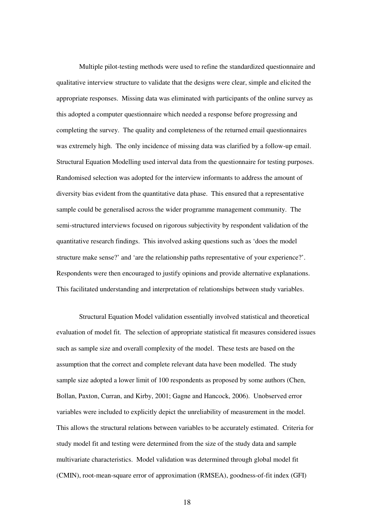Multiple pilot-testing methods were used to refine the standardized questionnaire and qualitative interview structure to validate that the designs were clear, simple and elicited the appropriate responses. Missing data was eliminated with participants of the online survey as this adopted a computer questionnaire which needed a response before progressing and completing the survey. The quality and completeness of the returned email questionnaires was extremely high. The only incidence of missing data was clarified by a follow-up email. Structural Equation Modelling used interval data from the questionnaire for testing purposes. Randomised selection was adopted for the interview informants to address the amount of diversity bias evident from the quantitative data phase. This ensured that a representative sample could be generalised across the wider programme management community. The semi-structured interviews focused on rigorous subjectivity by respondent validation of the quantitative research findings. This involved asking questions such as 'does the model structure make sense?' and 'are the relationship paths representative of your experience?'. Respondents were then encouraged to justify opinions and provide alternative explanations. This facilitated understanding and interpretation of relationships between study variables.

Structural Equation Model validation essentially involved statistical and theoretical evaluation of model fit. The selection of appropriate statistical fit measures considered issues such as sample size and overall complexity of the model. These tests are based on the assumption that the correct and complete relevant data have been modelled. The study sample size adopted a lower limit of 100 respondents as proposed by some authors (Chen, Bollan, Paxton, Curran, and Kirby, 2001; Gagne and Hancock, 2006). Unobserved error variables were included to explicitly depict the unreliability of measurement in the model. This allows the structural relations between variables to be accurately estimated. Criteria for study model fit and testing were determined from the size of the study data and sample multivariate characteristics. Model validation was determined through global model fit (CMIN), root-mean-square error of approximation (RMSEA), goodness-of-fit index (GFI)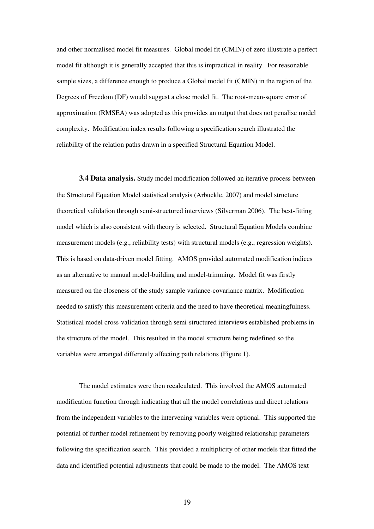and other normalised model fit measures. Global model fit (CMIN) of zero illustrate a perfect model fit although it is generally accepted that this is impractical in reality. For reasonable sample sizes, a difference enough to produce a Global model fit (CMIN) in the region of the Degrees of Freedom (DF) would suggest a close model fit. The root-mean-square error of approximation (RMSEA) was adopted as this provides an output that does not penalise model complexity. Modification index results following a specification search illustrated the reliability of the relation paths drawn in a specified Structural Equation Model.

**3.4 Data analysis.** Study model modification followed an iterative process between the Structural Equation Model statistical analysis (Arbuckle, 2007) and model structure theoretical validation through semi-structured interviews (Silverman 2006). The best-fitting model which is also consistent with theory is selected. Structural Equation Models combine measurement models (e.g., reliability tests) with structural models (e.g., regression weights). This is based on data-driven model fitting. AMOS provided automated modification indices as an alternative to manual model-building and model-trimming. Model fit was firstly measured on the closeness of the study sample variance-covariance matrix. Modification needed to satisfy this measurement criteria and the need to have theoretical meaningfulness. Statistical model cross-validation through semi-structured interviews established problems in the structure of the model. This resulted in the model structure being redefined so the variables were arranged differently affecting path relations (Figure 1).

The model estimates were then recalculated. This involved the AMOS automated modification function through indicating that all the model correlations and direct relations from the independent variables to the intervening variables were optional. This supported the potential of further model refinement by removing poorly weighted relationship parameters following the specification search. This provided a multiplicity of other models that fitted the data and identified potential adjustments that could be made to the model. The AMOS text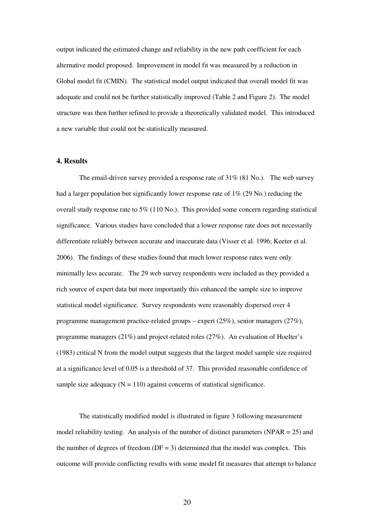output indicated the estimated change and reliability in the new path coefficient for each alternative model proposed. Improvement in model fit was measured by a reduction in Global model fit (CMIN). The statistical model output indicated that overall model fit was adequate and could not be further statistically improved (Table 2 and Figure 2). The model structure was then further refined to provide a theoretically validated model. This introduced a new variable that could not be statistically measured.

#### **4. Results**

The email-driven survey provided a response rate of 31% (81 No.). The web survey had a larger population but significantly lower response rate of 1% (29 No.) reducing the overall study response rate to 5% (110 No.). This provided some concern regarding statistical significance. Various studies have concluded that a lower response rate does not necessarily differentiate reliably between accurate and inaccurate data (Visser et al. 1996; Keeter et al. 2006). The findings of these studies found that much lower response rates were only minimally less accurate. The 29 web survey respondents were included as they provided a rich source of expert data but more importantly this enhanced the sample size to improve statistical model significance. Survey respondents were reasonably dispersed over 4 programme management practice-related groups – expert  $(25\%)$ , senior managers  $(27\%)$ , programme managers (21%) and project-related roles (27%). An evaluation of Hoelter's (1983) critical N from the model output suggests that the largest model sample size required at a significance level of 0.05 is a threshold of 37. This provided reasonable confidence of sample size adequacy  $(N = 110)$  against concerns of statistical significance.

The statistically modified model is illustrated in figure 3 following measurement model reliability testing. An analysis of the number of distinct parameters ( $NPAR = 25$ ) and the number of degrees of freedom ( $DF = 3$ ) determined that the model was complex. This outcome will provide conflicting results with some model fit measures that attempt to balance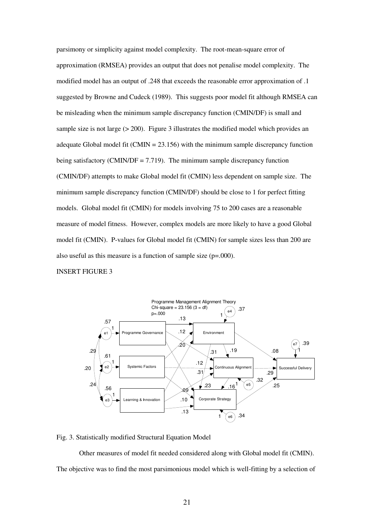parsimony or simplicity against model complexity. The root-mean-square error of approximation (RMSEA) provides an output that does not penalise model complexity. The modified model has an output of .248 that exceeds the reasonable error approximation of .1 suggested by Browne and Cudeck (1989). This suggests poor model fit although RMSEA can be misleading when the minimum sample discrepancy function (CMIN/DF) is small and sample size is not large  $(> 200)$ . Figure 3 illustrates the modified model which provides an adequate Global model fit (CMIN =  $23.156$ ) with the minimum sample discrepancy function being satisfactory (CMIN/DF =  $7.719$ ). The minimum sample discrepancy function (CMIN/DF) attempts to make Global model fit (CMIN) less dependent on sample size. The minimum sample discrepancy function (CMIN/DF) should be close to 1 for perfect fitting models. Global model fit (CMIN) for models involving 75 to 200 cases are a reasonable measure of model fitness. However, complex models are more likely to have a good Global model fit (CMIN). P-values for Global model fit (CMIN) for sample sizes less than 200 are also useful as this measure is a function of sample size (p=.000).

#### INSERT FIGURE 3



Fig. 3. Statistically modified Structural Equation Model

Other measures of model fit needed considered along with Global model fit (CMIN). The objective was to find the most parsimonious model which is well-fitting by a selection of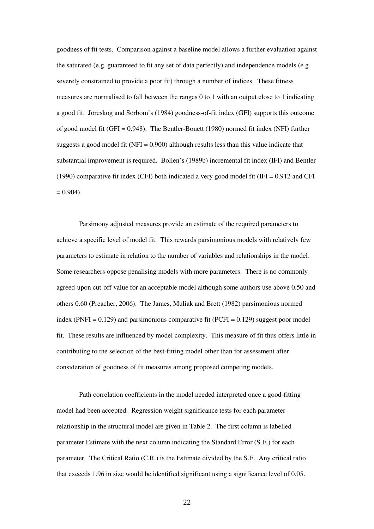goodness of fit tests. Comparison against a baseline model allows a further evaluation against the saturated (e.g. guaranteed to fit any set of data perfectly) and independence models (e.g. severely constrained to provide a poor fit) through a number of indices. These fitness measures are normalised to fall between the ranges 0 to 1 with an output close to 1 indicating a good fit. Jöreskog and Sörbom's (1984) goodness-of-fit index (GFI) supports this outcome of good model fit (GFI = 0.948). The Bentler-Bonett (1980) normed fit index (NFI) further suggests a good model fit (NFI = 0.900) although results less than this value indicate that substantial improvement is required. Bollen's (1989b) incremental fit index (IFI) and Bentler (1990) comparative fit index (CFI) both indicated a very good model fit (IFI =  $0.912$  and CFI  $= 0.904$ ).

Parsimony adjusted measures provide an estimate of the required parameters to achieve a specific level of model fit. This rewards parsimonious models with relatively few parameters to estimate in relation to the number of variables and relationships in the model. Some researchers oppose penalising models with more parameters. There is no commonly agreed-upon cut-off value for an acceptable model although some authors use above 0.50 and others 0.60 (Preacher, 2006). The James, Muliak and Brett (1982) parsimonious normed index (PNFI =  $0.129$ ) and parsimonious comparative fit (PCFI =  $0.129$ ) suggest poor model fit. These results are influenced by model complexity. This measure of fit thus offers little in contributing to the selection of the best-fitting model other than for assessment after consideration of goodness of fit measures among proposed competing models.

Path correlation coefficients in the model needed interpreted once a good-fitting model had been accepted. Regression weight significance tests for each parameter relationship in the structural model are given in Table 2. The first column is labelled parameter Estimate with the next column indicating the Standard Error (S.E.) for each parameter. The Critical Ratio (C.R.) is the Estimate divided by the S.E. Any critical ratio that exceeds 1.96 in size would be identified significant using a significance level of 0.05.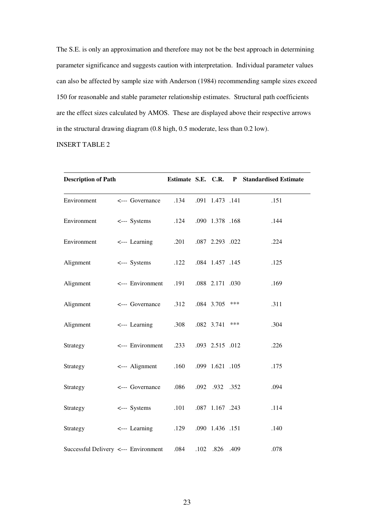The S.E. is only an approximation and therefore may not be the best approach in determining parameter significance and suggests caution with interpretation. Individual parameter values can also be affected by sample size with Anderson (1984) recommending sample sizes exceed 150 for reasonable and stable parameter relationship estimates. Structural path coefficients are the effect sizes calculated by AMOS. These are displayed above their respective arrows in the structural drawing diagram (0.8 high, 0.5 moderate, less than 0.2 low).

INSERT TABLE 2

| <b>Description of Path</b>           |                       |      |                 | Estimate S.E. C.R. P Standardised Estimate |      |
|--------------------------------------|-----------------------|------|-----------------|--------------------------------------------|------|
| Environment                          | <--- Governance       | .134 | .091 1.473 .141 |                                            | .151 |
| Environment                          | <--- Systems          | .124 | .090 1.378 .168 |                                            | .144 |
| Environment                          | $\leftarrow$ Learning | .201 | .087 2.293 .022 |                                            | .224 |
| Alignment                            | <--- Systems          | .122 | .084 1.457 .145 |                                            | .125 |
| Alignment                            | <--- Environment      | .191 | .088 2.171 .030 |                                            | .169 |
| Alignment                            | <--- Governance       | .312 | .084 3.705      | ***                                        | .311 |
| Alignment                            | $\leftarrow$ Learning | .308 | .082 3.741      | ***                                        | .304 |
| Strategy                             | <--- Environment      | .233 | .093 2.515 .012 |                                            | .226 |
| Strategy                             | <--- Alignment        | .160 | .099 1.621 .105 |                                            | .175 |
| Strategy                             | <--- Governance       | .086 | .092 .932 .352  |                                            | .094 |
| Strategy                             | <--- Systems          | .101 | .087 1.167 .243 |                                            | .114 |
| Strategy                             | <--- Learning         | .129 | .090 1.436 .151 |                                            | .140 |
| Successful Delivery <--- Environment |                       | .084 | .102 .826 .409  |                                            | .078 |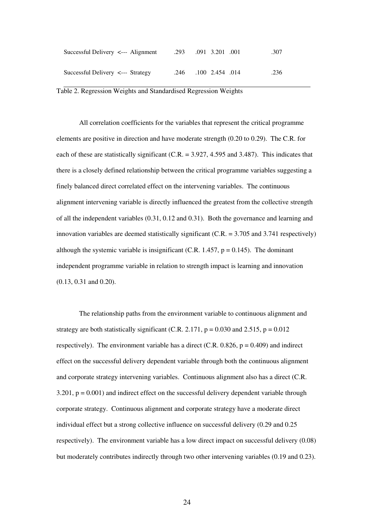| Successful Delivery $\leq$ --- Alignment | .293 | .091 3.201 .001 | .307 |
|------------------------------------------|------|-----------------|------|
| Successful Delivery <--- Strategy        | .246 | .100 2.454 .014 | .236 |

Table 2. Regression Weights and Standardised Regression Weights

All correlation coefficients for the variables that represent the critical programme elements are positive in direction and have moderate strength (0.20 to 0.29). The C.R. for each of these are statistically significant (C.R. = 3.927, 4.595 and 3.487). This indicates that there is a closely defined relationship between the critical programme variables suggesting a finely balanced direct correlated effect on the intervening variables. The continuous alignment intervening variable is directly influenced the greatest from the collective strength of all the independent variables (0.31, 0.12 and 0.31). Both the governance and learning and innovation variables are deemed statistically significant (C.R.  $=$  3.705 and 3.741 respectively) although the systemic variable is insignificant (C.R. 1.457,  $p = 0.145$ ). The dominant independent programme variable in relation to strength impact is learning and innovation (0.13, 0.31 and 0.20).

The relationship paths from the environment variable to continuous alignment and strategy are both statistically significant (C.R. 2.171,  $p = 0.030$  and 2.515,  $p = 0.012$ ) respectively). The environment variable has a direct (C.R.  $0.826$ ,  $p = 0.409$ ) and indirect effect on the successful delivery dependent variable through both the continuous alignment and corporate strategy intervening variables. Continuous alignment also has a direct (C.R.  $3.201$ ,  $p = 0.001$ ) and indirect effect on the successful delivery dependent variable through corporate strategy. Continuous alignment and corporate strategy have a moderate direct individual effect but a strong collective influence on successful delivery (0.29 and 0.25 respectively). The environment variable has a low direct impact on successful delivery (0.08) but moderately contributes indirectly through two other intervening variables (0.19 and 0.23).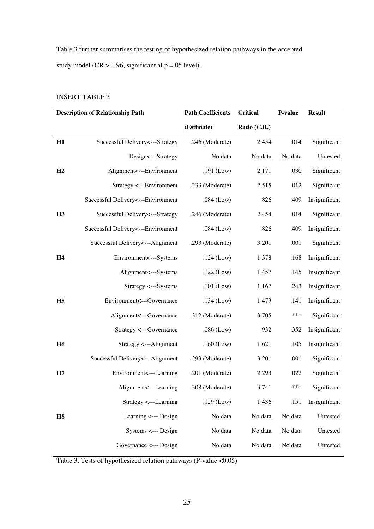Table 3 further summarises the testing of hypothesized relation pathways in the accepted study model ( $CR > 1.96$ , significant at  $p = .05$  level).

# INSERT TABLE 3

| <b>Description of Relationship Path</b> |                                    | <b>Path Coefficients</b> | <b>Critical</b> | P-value | <b>Result</b> |
|-----------------------------------------|------------------------------------|--------------------------|-----------------|---------|---------------|
|                                         |                                    | (Estimate)               | Ratio (C.R.)    |         |               |
| H1                                      | Successful Delivery<---Strategy    | .246 (Moderate)          | 2.454           | .014    | Significant   |
|                                         | Design<---Strategy                 | No data                  | No data         | No data | Untested      |
| H2                                      | Alignment<---Environment           | $.191$ (Low)             | 2.171           | .030    | Significant   |
|                                         | Strategy <---Environment           | .233 (Moderate)          | 2.515           | .012    | Significant   |
|                                         | Successful Delivery<---Environment | $.084$ (Low)             | .826            | .409    | Insignificant |
| <b>H3</b>                               | Successful Delivery <--- Strategy  | .246 (Moderate)          | 2.454           | .014    | Significant   |
|                                         | Successful Delivery<---Environment | $.084$ (Low)             | .826            | .409    | Insignificant |
|                                         | Successful Delivery<---Alignment   | .293 (Moderate)          | 3.201           | .001    | Significant   |
| H <sub>4</sub>                          | Environment<---Systems             | $.124$ (Low)             | 1.378           | .168    | Insignificant |
|                                         | Alignment<---Systems               | $.122$ (Low)             | 1.457           | .145    | Insignificant |
|                                         | Strategy <---Systems               | $.101$ (Low)             | 1.167           | .243    | Insignificant |
| H <sub>5</sub>                          | Environment<---Governance          | $.134$ (Low)             | 1.473           | .141    | Insignificant |
|                                         | Alignment<---Governance            | .312 (Moderate)          | 3.705           | ***     | Significant   |
|                                         | Strategy <---Governance            | $.086$ (Low)             | .932            | .352    | Insignificant |
| <b>H6</b>                               | Strategy <---Alignment             | $.160$ (Low)             | 1.621           | .105    | Insignificant |
|                                         | Successful Delivery <--- Alignment | .293 (Moderate)          | 3.201           | .001    | Significant   |
| H7                                      | Environment<---Learning            | .201 (Moderate)          | 2.293           | .022    | Significant   |
|                                         | Alignment<---Learning              | .308 (Moderate)          | 3.741           | ***     | Significant   |
|                                         | Strategy <---Learning              | $.129$ (Low)             | 1.436           | .151    | Insignificant |
| H8                                      | Learning <--- Design               | No data                  | No data         | No data | Untested      |
|                                         | Systems <--- Design                | No data                  | No data         | No data | Untested      |
|                                         | Governance <--- Design             | No data                  | No data         | No data | Untested      |

Table 3. Tests of hypothesized relation pathways (P-value <0.05)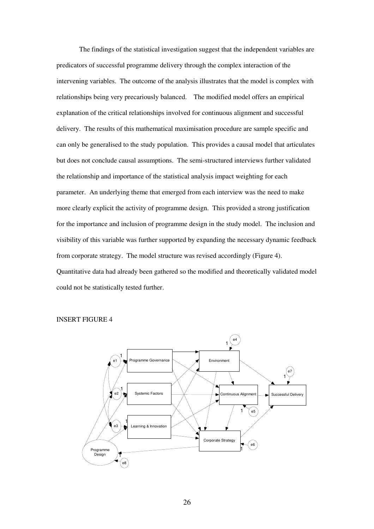The findings of the statistical investigation suggest that the independent variables are predicators of successful programme delivery through the complex interaction of the intervening variables. The outcome of the analysis illustrates that the model is complex with relationships being very precariously balanced. The modified model offers an empirical explanation of the critical relationships involved for continuous alignment and successful delivery. The results of this mathematical maximisation procedure are sample specific and can only be generalised to the study population. This provides a causal model that articulates but does not conclude causal assumptions. The semi-structured interviews further validated the relationship and importance of the statistical analysis impact weighting for each parameter. An underlying theme that emerged from each interview was the need to make more clearly explicit the activity of programme design. This provided a strong justification for the importance and inclusion of programme design in the study model. The inclusion and visibility of this variable was further supported by expanding the necessary dynamic feedback from corporate strategy. The model structure was revised accordingly (Figure 4). Quantitative data had already been gathered so the modified and theoretically validated model could not be statistically tested further.

#### INSERT FIGURE 4

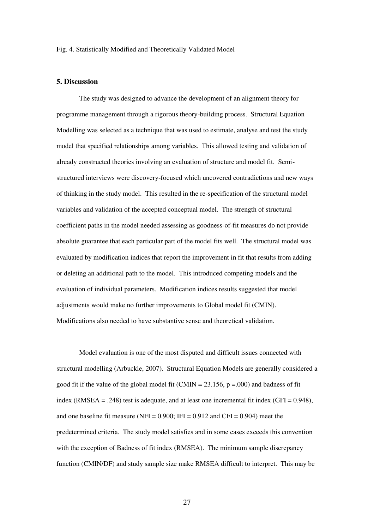#### Fig. 4. Statistically Modified and Theoretically Validated Model

### **5. Discussion**

The study was designed to advance the development of an alignment theory for programme management through a rigorous theory-building process. Structural Equation Modelling was selected as a technique that was used to estimate, analyse and test the study model that specified relationships among variables. This allowed testing and validation of already constructed theories involving an evaluation of structure and model fit. Semistructured interviews were discovery-focused which uncovered contradictions and new ways of thinking in the study model. This resulted in the re-specification of the structural model variables and validation of the accepted conceptual model. The strength of structural coefficient paths in the model needed assessing as goodness-of-fit measures do not provide absolute guarantee that each particular part of the model fits well. The structural model was evaluated by modification indices that report the improvement in fit that results from adding or deleting an additional path to the model. This introduced competing models and the evaluation of individual parameters. Modification indices results suggested that model adjustments would make no further improvements to Global model fit (CMIN). Modifications also needed to have substantive sense and theoretical validation.

Model evaluation is one of the most disputed and difficult issues connected with structural modelling (Arbuckle, 2007). Structural Equation Models are generally considered a good fit if the value of the global model fit (CMIN =  $23.156$ , p = 000) and badness of fit index (RMSEA = .248) test is adequate, and at least one incremental fit index (GFI =  $0.948$ ), and one baseline fit measure (NFI =  $0.900$ ; IFI =  $0.912$  and CFI =  $0.904$ ) meet the predetermined criteria. The study model satisfies and in some cases exceeds this convention with the exception of Badness of fit index (RMSEA). The minimum sample discrepancy function (CMIN/DF) and study sample size make RMSEA difficult to interpret. This may be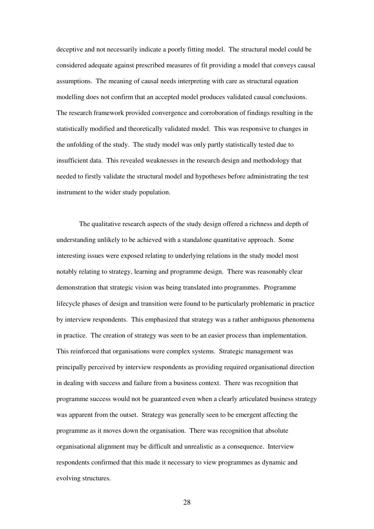deceptive and not necessarily indicate a poorly fitting model. The structural model could be considered adequate against prescribed measures of fit providing a model that conveys causal assumptions. The meaning of causal needs interpreting with care as structural equation modelling does not confirm that an accepted model produces validated causal conclusions. The research framework provided convergence and corroboration of findings resulting in the statistically modified and theoretically validated model. This was responsive to changes in the unfolding of the study. The study model was only partly statistically tested due to insufficient data. This revealed weaknesses in the research design and methodology that needed to firstly validate the structural model and hypotheses before administrating the test instrument to the wider study population.

The qualitative research aspects of the study design offered a richness and depth of understanding unlikely to be achieved with a standalone quantitative approach. Some interesting issues were exposed relating to underlying relations in the study model most notably relating to strategy, learning and programme design. There was reasonably clear demonstration that strategic vision was being translated into programmes. Programme lifecycle phases of design and transition were found to be particularly problematic in practice by interview respondents. This emphasized that strategy was a rather ambiguous phenomena in practice. The creation of strategy was seen to be an easier process than implementation. This reinforced that organisations were complex systems. Strategic management was principally perceived by interview respondents as providing required organisational direction in dealing with success and failure from a business context. There was recognition that programme success would not be guaranteed even when a clearly articulated business strategy was apparent from the outset. Strategy was generally seen to be emergent affecting the programme as it moves down the organisation. There was recognition that absolute organisational alignment may be difficult and unrealistic as a consequence. Interview respondents confirmed that this made it necessary to view programmes as dynamic and evolving structures.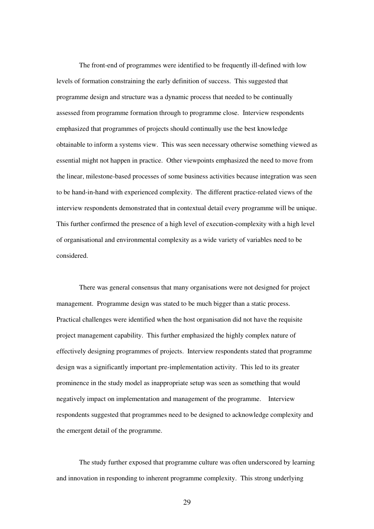The front-end of programmes were identified to be frequently ill-defined with low levels of formation constraining the early definition of success. This suggested that programme design and structure was a dynamic process that needed to be continually assessed from programme formation through to programme close. Interview respondents emphasized that programmes of projects should continually use the best knowledge obtainable to inform a systems view. This was seen necessary otherwise something viewed as essential might not happen in practice. Other viewpoints emphasized the need to move from the linear, milestone-based processes of some business activities because integration was seen to be hand-in-hand with experienced complexity. The different practice-related views of the interview respondents demonstrated that in contextual detail every programme will be unique. This further confirmed the presence of a high level of execution-complexity with a high level of organisational and environmental complexity as a wide variety of variables need to be considered.

There was general consensus that many organisations were not designed for project management. Programme design was stated to be much bigger than a static process. Practical challenges were identified when the host organisation did not have the requisite project management capability. This further emphasized the highly complex nature of effectively designing programmes of projects. Interview respondents stated that programme design was a significantly important pre-implementation activity. This led to its greater prominence in the study model as inappropriate setup was seen as something that would negatively impact on implementation and management of the programme. Interview respondents suggested that programmes need to be designed to acknowledge complexity and the emergent detail of the programme.

The study further exposed that programme culture was often underscored by learning and innovation in responding to inherent programme complexity. This strong underlying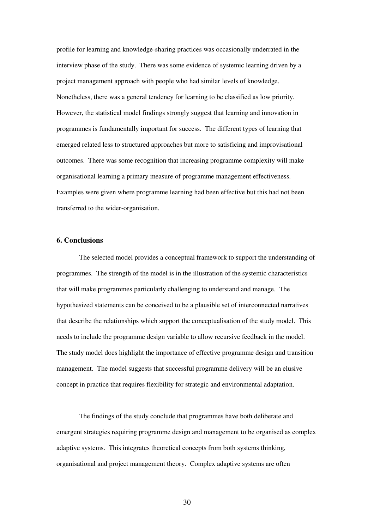profile for learning and knowledge-sharing practices was occasionally underrated in the interview phase of the study. There was some evidence of systemic learning driven by a project management approach with people who had similar levels of knowledge. Nonetheless, there was a general tendency for learning to be classified as low priority. However, the statistical model findings strongly suggest that learning and innovation in programmes is fundamentally important for success. The different types of learning that emerged related less to structured approaches but more to satisficing and improvisational outcomes. There was some recognition that increasing programme complexity will make organisational learning a primary measure of programme management effectiveness. Examples were given where programme learning had been effective but this had not been transferred to the wider-organisation.

# **6. Conclusions**

The selected model provides a conceptual framework to support the understanding of programmes. The strength of the model is in the illustration of the systemic characteristics that will make programmes particularly challenging to understand and manage. The hypothesized statements can be conceived to be a plausible set of interconnected narratives that describe the relationships which support the conceptualisation of the study model. This needs to include the programme design variable to allow recursive feedback in the model. The study model does highlight the importance of effective programme design and transition management. The model suggests that successful programme delivery will be an elusive concept in practice that requires flexibility for strategic and environmental adaptation.

The findings of the study conclude that programmes have both deliberate and emergent strategies requiring programme design and management to be organised as complex adaptive systems. This integrates theoretical concepts from both systems thinking, organisational and project management theory. Complex adaptive systems are often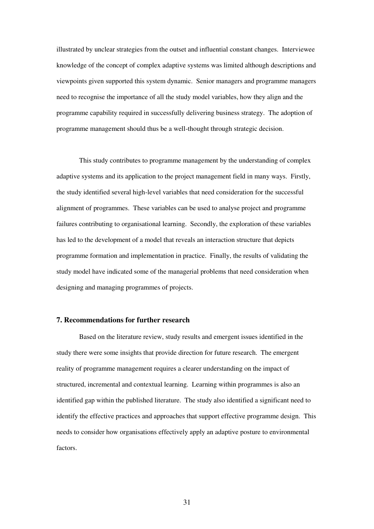illustrated by unclear strategies from the outset and influential constant changes. Interviewee knowledge of the concept of complex adaptive systems was limited although descriptions and viewpoints given supported this system dynamic. Senior managers and programme managers need to recognise the importance of all the study model variables, how they align and the programme capability required in successfully delivering business strategy. The adoption of programme management should thus be a well-thought through strategic decision.

This study contributes to programme management by the understanding of complex adaptive systems and its application to the project management field in many ways. Firstly, the study identified several high-level variables that need consideration for the successful alignment of programmes. These variables can be used to analyse project and programme failures contributing to organisational learning. Secondly, the exploration of these variables has led to the development of a model that reveals an interaction structure that depicts programme formation and implementation in practice. Finally, the results of validating the study model have indicated some of the managerial problems that need consideration when designing and managing programmes of projects.

# **7. Recommendations for further research**

Based on the literature review, study results and emergent issues identified in the study there were some insights that provide direction for future research. The emergent reality of programme management requires a clearer understanding on the impact of structured, incremental and contextual learning. Learning within programmes is also an identified gap within the published literature. The study also identified a significant need to identify the effective practices and approaches that support effective programme design. This needs to consider how organisations effectively apply an adaptive posture to environmental factors.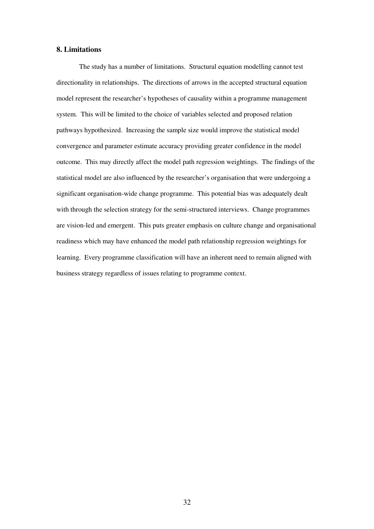#### **8. Limitations**

The study has a number of limitations. Structural equation modelling cannot test directionality in relationships. The directions of arrows in the accepted structural equation model represent the researcher's hypotheses of causality within a programme management system. This will be limited to the choice of variables selected and proposed relation pathways hypothesized. Increasing the sample size would improve the statistical model convergence and parameter estimate accuracy providing greater confidence in the model outcome. This may directly affect the model path regression weightings. The findings of the statistical model are also influenced by the researcher's organisation that were undergoing a significant organisation-wide change programme. This potential bias was adequately dealt with through the selection strategy for the semi-structured interviews. Change programmes are vision-led and emergent. This puts greater emphasis on culture change and organisational readiness which may have enhanced the model path relationship regression weightings for learning. Every programme classification will have an inherent need to remain aligned with business strategy regardless of issues relating to programme context.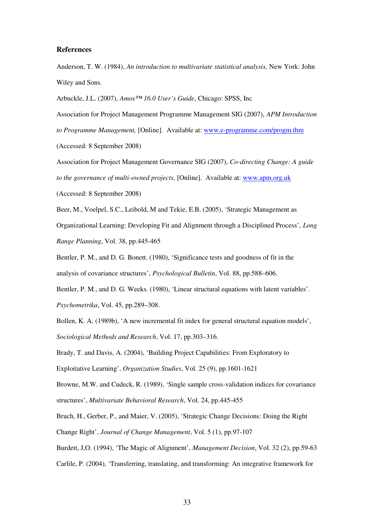#### **References**

Anderson, T. W. (1984), *An introduction to multivariate statistical analysis,* New York: John Wiley and Sons.

Arbuckle, J.L. (2007), *Amos™ 16.0 User's Guide*, Chicago: SPSS, Inc

Association for Project Management Programme Management SIG (2007), *APM Introduction to Programme Management,* [Online]. Available at: www.e-programme.com/progm.thm (Accessed: 8 September 2008)

Association for Project Management Governance SIG (2007), *Co-directing Change: A guide to the governance of multi-owned projects,* [Online]. Available at: www.apm.org.uk (Accessed: 8 September 2008)

Beer, M., Voelpel, S.C., Leibold, M and Tekie, E.B. (2005), 'Strategic Management as Organizational Learning: Developing Fit and Alignment through a Disciplined Process', *Long Range Planning*, Vol. 38, pp.445-465

Bentler, P. M., and D. G. Bonett. (1980), 'Significance tests and goodness of fit in the analysis of covariance structures', *Psychological Bulletin*, Vol. 88, pp.588–606.

Bentler, P. M., and D. G. Weeks. (1980), 'Linear structural equations with latent variables'. *Psychometrika*, Vol. 45, pp.289–308.

Bollen, K. A. (1989b), 'A new incremental fit index for general structural equation models', *Sociological Methods and Research*, Vol. 17, pp.303–316.

Brady, T. and Davis, A. (2004), 'Building Project Capabilities: From Exploratory to

Exploitative Learning', *Organization Studies*, Vol. 25 (9), pp.1601-1621

Browne, M.W. and Cudeck, R. (1989), 'Single sample cross-validation indices for covariance structures', *Multivariate Behavioral Research*, Vol. 24, pp.445-455

Bruch, H., Gerber, P., and Maier, V. (2005), 'Strategic Change Decisions: Doing the Right Change Right', *Journal of Change Management*, Vol. 5 (1), pp.97-107

Burdett, J,O. (1994), 'The Magic of Alignment', *Management Decision*, Vol. 32 (2), pp.59-63

Carlile, P. (2004), 'Transferring, translating, and transforming: An integrative framework for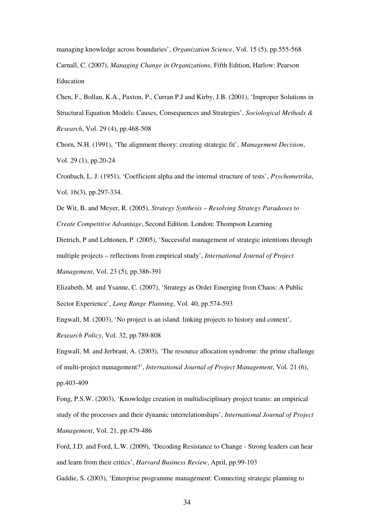managing knowledge across boundaries', *Organization Science*, Vol. 15 (5), pp.555-568 Carnall, C. (2007), *Managing Change in Organizations*, Fifth Edition, Harlow: Pearson Education

Chen, F., Bollan, K.A., Paxton, P., Curran P.J and Kirby, J.B. (2001), 'Improper Solutions in Structural Equation Models: Causes, Consequences and Strategies', *Sociological Methods & Research*, Vol. 29 (4), pp.468-508

Chorn, N.H. (1991), 'The alignment theory: creating strategic fit', *Management Decision*, Vol. 29 (1), pp.20-24

Cronbach, L. J. (1951), 'Coefficient alpha and the internal structure of tests', *Psychometrika*, Vol. 16(3), pp.297-334.

De Wit, B. and Meyer, R. (2005), *Strategy Synthesis – Resolving Strategy Paradoxes to Create Competitive Advantage*, Second Edition. London: Thompson Learning

Dietrich, P and Lehtonen, P. (2005), 'Successful management of strategic intentions through multiple projects – reflections from empirical study', *International Journal of Project Management*, Vol. 23 (5), pp.386-391

Elizabeth, M. and Ysanne, C. (2007), 'Strategy as Order Emerging from Chaos: A Public Sector Experience', *Long Range Planning*, Vol. 40, pp.574-593

Engwall, M. (2003), 'No project is an island: linking projects to history and context',

*Research Policy*, Vol. 32, pp.789-808

Engwall, M. and Jerbrant, A. (2003), 'The resource allocation syndrome: the prime challenge of multi-project management?', *International Journal of Project Management*, Vol. 21 (6), pp.403-409

Fong, P.S.W. (2003), 'Knowledge creation in multidisciplinary project teams: an empirical study of the processes and their dynamic interrelationships', *International Journal of Project Management*, Vol. 21, pp.479-486

Ford, J.D. and Ford, L.W. (2009), 'Decoding Resistance to Change - Strong leaders can hear and learn from their critics', *Harvard Business Review*, April, pp.99-103

Gaddie, S. (2003), 'Enterprise programme management: Connecting strategic planning to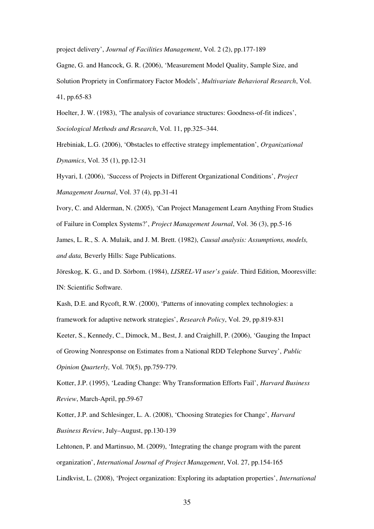project delivery', *Journal of Facilities Management*, Vol. 2 (2), pp.177-189

Gagne, G. and Hancock, G. R. (2006), 'Measurement Model Quality, Sample Size, and Solution Propriety in Confirmatory Factor Models', *Multivariate Behavioral Research*, Vol. 41, pp.65-83

Hoelter, J. W. (1983), 'The analysis of covariance structures: Goodness-of-fit indices', *Sociological Methods and Research*, Vol. 11, pp.325–344.

Hrebiniak, L.G. (2006), 'Obstacles to effective strategy implementation', *Organizational Dynamics*, Vol. 35 (1), pp.12-31

Hyvari, I. (2006), 'Success of Projects in Different Organizational Conditions', *Project Management Journal*, Vol. 37 (4), pp.31-41

Ivory, C. and Alderman, N. (2005), 'Can Project Management Learn Anything From Studies of Failure in Complex Systems?', *Project Management Journal*, Vol. 36 (3), pp.5-16

James, L. R., S. A. Mulaik, and J. M. Brett. (1982), *Causal analysis: Assumptions, models, and data,* Beverly Hills: Sage Publications.

Jöreskog, K. G., and D. Sörbom. (1984), *LISREL-VI user's guide*. Third Edition, Mooresville: IN: Scientific Software.

Kash, D.E. and Rycoft, R.W. (2000), 'Patterns of innovating complex technologies: a framework for adaptive network strategies', *Research Policy*, Vol. 29, pp.819-831 Keeter, S., Kennedy, C., Dimock, M., Best, J. and Craighill, P. (2006), 'Gauging the Impact of Growing Nonresponse on Estimates from a National RDD Telephone Survey', *Public Opinion Quarterly,* Vol. 70(5), pp.759-779.

Kotter, J.P. (1995), 'Leading Change: Why Transformation Efforts Fail', *Harvard Business Review*, March-April, pp.59-67

Kotter, J.P. and Schlesinger, L. A. (2008), 'Choosing Strategies for Change', *Harvard Business Review*, July–August, pp.130-139

Lehtonen, P. and Martinsuo, M. (2009), 'Integrating the change program with the parent organization', *International Journal of Project Management*, Vol. 27, pp.154-165

Lindkvist, L. (2008), 'Project organization: Exploring its adaptation properties', *International*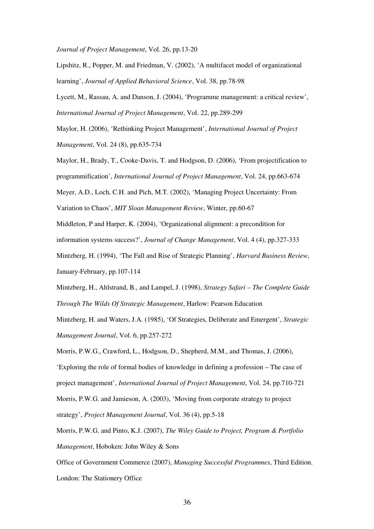*Journal of Project Management*, Vol. 26, pp.13-20

Lipshitz, R., Popper, M. and Friedman, V. (2002), 'A multifacet model of organizational learning', *Journal of Applied Behavioral Science*, Vol. 38, pp.78-98

Lycett, M., Rassau, A. and Danson, J. (2004), 'Programme management: a critical review', *International Journal of Project Management*, Vol. 22, pp.289-299

Maylor, H. (2006), 'Rethinking Project Management', *International Journal of Project Management*, Vol. 24 (8), pp.635-734

Maylor, H., Brady, T., Cooke-Davis, T. and Hodgson, D. (2006), 'From projectification to programmification', *International Journal of Project Management*, Vol. 24, pp.663-674

Meyer, A.D., Loch, C.H. and Pich, M.T. (2002), 'Managing Project Uncertainty: From

Variation to Chaos', *MIT Sloan Management Review*, Winter, pp.60-67

Middleton, P and Harper, K. (2004), 'Organizational alignment: a precondition for information systems success?', *Journal of Change Management*, Vol. 4 (4), pp.327-333

Mintzberg, H. (1994), 'The Fall and Rise of Strategic Planning', *Harvard Business Review*, January-February, pp.107-114

Mintzberg, H., Ahlstrand, B., and Lampel, J. (1998), *Strategy Safari – The Complete Guide Through The Wilds Of Strategic Management*, Harlow: Pearson Education

Mintzberg, H. and Waters, J.A. (1985), 'Of Strategies, Deliberate and Emergent', *Strategic Management Journal*, Vol. 6, pp.257-272

Morris, P.W.G., Crawford, L., Hodgson, D., Shepherd, M.M., and Thomas, J. (2006), 'Exploring the role of formal bodies of knowledge in defining a profession – The case of project management', *International Journal of Project Management*, Vol. 24, pp.710-721

Morris, P.W.G. and Jamieson, A. (2003), 'Moving from corporate strategy to project

strategy', *Project Management Journal*, Vol. 36 (4), pp.5-18

Morris, P.W.G. and Pinto, K.J. (2007), *The Wiley Guide to Project, Program & Portfolio Management*, Hoboken: John Wiley & Sons

Office of Government Commerce (2007), *Managing Successful Programmes*, Third Edition. London: The Stationery Office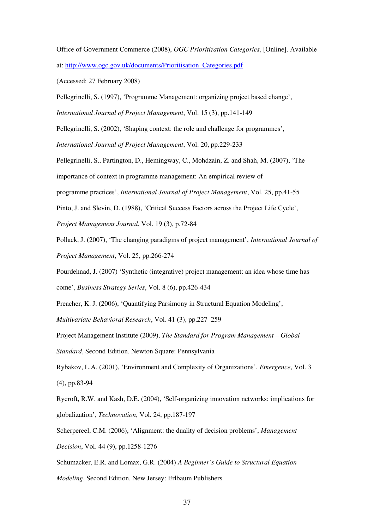Office of Government Commerce (2008), *OGC Prioritization Categories*, [Online]. Available

at: http://www.ogc.gov.uk/documents/Prioritisation\_Categories.pdf

(Accessed: 27 February 2008)

Pellegrinelli, S. (1997), 'Programme Management: organizing project based change',

*International Journal of Project Management*, Vol. 15 (3), pp.141-149

Pellegrinelli, S. (2002), 'Shaping context: the role and challenge for programmes',

*International Journal of Project Management*, Vol. 20, pp.229-233

Pellegrinelli, S., Partington, D., Hemingway, C., Mohdzain, Z. and Shah, M. (2007), 'The

importance of context in programme management: An empirical review of

programme practices', *International Journal of Project Management*, Vol. 25, pp.41-55

Pinto, J. and Slevin, D. (1988), 'Critical Success Factors across the Project Life Cycle',

*Project Management Journal*, Vol. 19 (3), p.72-84

Pollack, J. (2007), 'The changing paradigms of project management', *International Journal of Project Management*, Vol. 25, pp.266-274

Pourdehnad, J. (2007) 'Synthetic (integrative) project management: an idea whose time has come', *Business Strategy Series*, Vol. 8 (6), pp.426-434

Preacher, K. J. (2006), 'Quantifying Parsimony in Structural Equation Modeling',

*Multivariate Behavioral Research*, Vol. 41 (3), pp.227–259

Project Management Institute (2009), *The Standard for Program Management – Global Standard*, Second Edition. Newton Square: Pennsylvania

Rybakov, L.A. (2001), 'Environment and Complexity of Organizations', *Emergence*, Vol. 3 (4), pp.83-94

Rycroft, R.W. and Kash, D.E. (2004), 'Self-organizing innovation networks: implications for globalization', *Technovation*, Vol. 24, pp.187-197

Scherpereel, C.M. (2006), 'Alignment: the duality of decision problems', *Management Decision*, Vol. 44 (9), pp.1258-1276

Schumacker, E.R. and Lomax, G.R. (2004) *A Beginner's Guide to Structural Equation*

*Modeling*, Second Edition. New Jersey: Erlbaum Publishers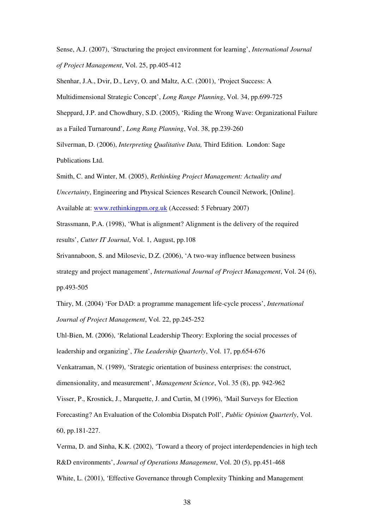Sense, A.J. (2007), 'Structuring the project environment for learning', *International Journal of Project Management*, Vol. 25, pp.405-412

Shenhar, J.A., Dvir, D., Levy, O. and Maltz, A.C. (2001), 'Project Success: A

Multidimensional Strategic Concept', *Long Range Planning*, Vol. 34, pp.699-725

Sheppard, J.P. and Chowdhury, S.D. (2005), 'Riding the Wrong Wave: Organizational Failure

as a Failed Turnaround', *Long Rang Planning*, Vol. 38, pp.239-260

Silverman, D. (2006), *Interpreting Qualitative Data,* Third Edition. London: Sage Publications Ltd.

Smith, C. and Winter, M. (2005), *Rethinking Project Management: Actuality and*

*Uncertainty*, Engineering and Physical Sciences Research Council Network, [Online].

Available at: www.rethinkingpm.org.uk (Accessed: 5 February 2007)

Strassmann, P.A. (1998), 'What is alignment? Alignment is the delivery of the required results', *Cutter IT Journal*, Vol. 1, August, pp.108

Srivannaboon, S. and Milosevic, D.Z. (2006), 'A two-way influence between business strategy and project management', *International Journal of Project Management*, Vol. 24 (6), pp.493-505

Thiry, M. (2004) 'For DAD: a programme management life-cycle process', *International Journal of Project Management*, Vol. 22, pp.245-252

Uhl-Bien, M. (2006), 'Relational Leadership Theory: Exploring the social processes of leadership and organizing', *The Leadership Quarterly*, Vol. 17, pp.654-676

Venkatraman, N. (1989), 'Strategic orientation of business enterprises: the construct, dimensionality, and measurement', *Management Science*, Vol. 35 (8), pp. 942-962

Visser, P., Krosnick, J., Marquette, J. and Curtin, M (1996), 'Mail Surveys for Election

Forecasting? An Evaluation of the Colombia Dispatch Poll', *Public Opinion Quarterly*, Vol.

60, pp.181-227.

Verma, D. and Sinha, K.K. (2002), 'Toward a theory of project interdependencies in high tech R&D environments', *Journal of Operations Management*, Vol. 20 (5), pp.451-468 White, L. (2001), 'Effective Governance through Complexity Thinking and Management